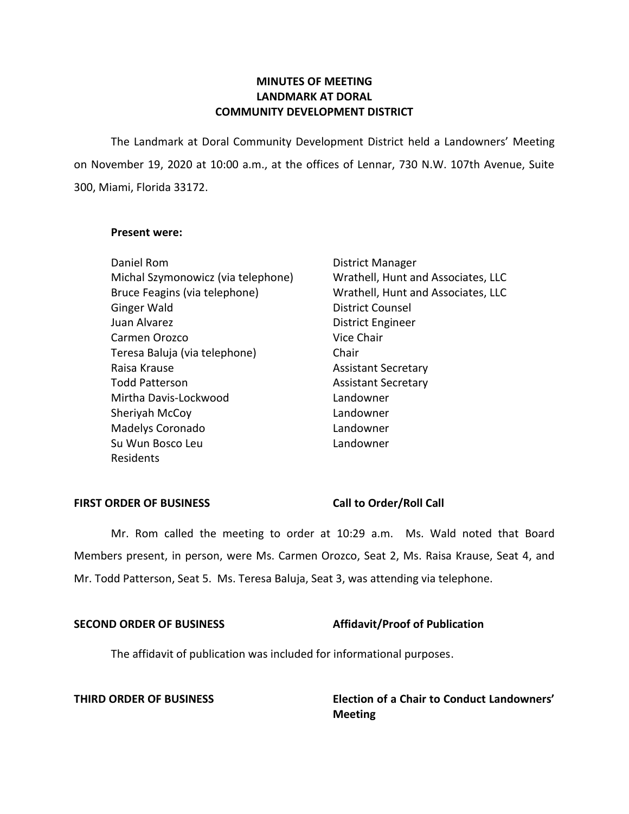# **LANDMARK AT DORAL COMMUNITY DEVELOPMENT DISTRICT MINUTES OF MEETING**

 The Landmark at Doral Community Development District held a Landowners' Meeting on November 19, 2020 at 10:00 a.m., at the offices of Lennar, 730 N.W. 107th Avenue, Suite 300, Miami, Florida 33172.

## **Present were:**

| Daniel Rom                         | <b>District Manager</b>            |
|------------------------------------|------------------------------------|
| Michal Szymonowicz (via telephone) | Wrathell, Hunt and Associates, LLC |
| Bruce Feagins (via telephone)      | Wrathell, Hunt and Associates, LLC |
| Ginger Wald                        | <b>District Counsel</b>            |
| Juan Alvarez                       | District Engineer                  |
| Carmen Orozco                      | Vice Chair                         |
| Teresa Baluja (via telephone)      | Chair                              |
| Raisa Krause                       | <b>Assistant Secretary</b>         |
| <b>Todd Patterson</b>              | <b>Assistant Secretary</b>         |
| Mirtha Davis-Lockwood              | Landowner                          |
| Sheriyah McCoy                     | Landowner                          |
| Madelys Coronado                   | Landowner                          |
| Su Wun Bosco Leu                   | Landowner                          |
| Residents                          |                                    |

## **FIRST ORDER OF BUSINESS** Call to Order/Roll Call

 Mr. Rom called the meeting to order at 10:29 a.m. Ms. Wald noted that Board Members present, in person, were Ms. Carmen Orozco, Seat 2, Ms. Raisa Krause, Seat 4, and Mr. Todd Patterson, Seat 5. Ms. Teresa Baluja, Seat 3, was attending via telephone.

## **SECOND ORDER OF BUSINESS** Affidavit/Proof of Publication

The affidavit of publication was included for informational purposes.

 **THIRD ORDER OF BUSINESS Election of a Chair to Conduct Landowners' Meeting**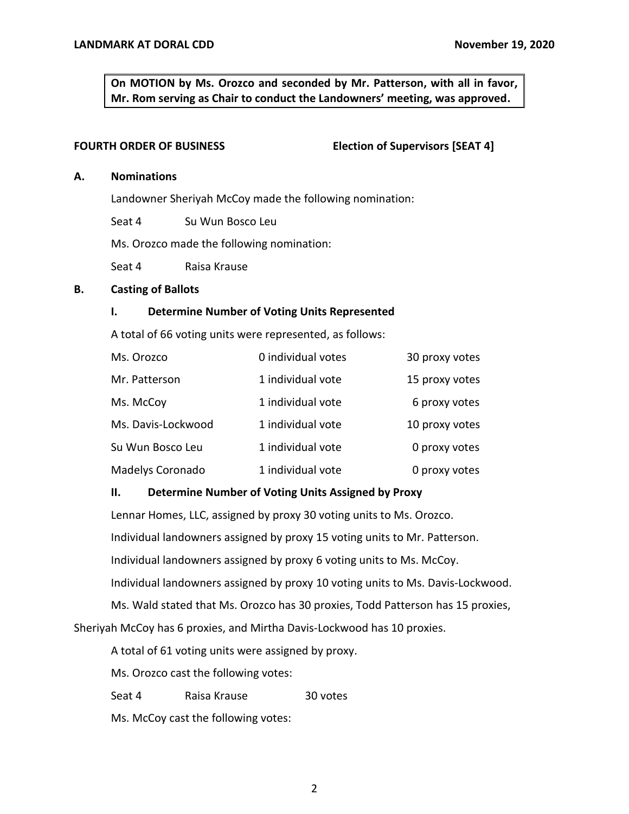**On MOTION by Ms. Orozco and seconded by Mr. Patterson, with all in favor, Mr. Rom serving as Chair to conduct the Landowners' meeting, was approved.** 

#### **FOURTH ORDER OF BUSINESS**

### **Election of Supervisors [SEAT 4]**

#### **A. Nominations**

Landowner Sheriyah McCoy made the following nomination:

Seat 4 Su Wun Bosco Leu

Ms. Orozco made the following nomination:

Seat 4 Raisa Krause

### **B. Casting of Ballots**

### **I. Determine Number of Voting Units Represented**

A total of 66 voting units were represented, as follows:

| Ms. Orozco         | 0 individual votes | 30 proxy votes |
|--------------------|--------------------|----------------|
| Mr. Patterson      | 1 individual vote  | 15 proxy votes |
| Ms. McCoy          | 1 individual vote  | 6 proxy votes  |
| Ms. Davis-Lockwood | 1 individual vote  | 10 proxy votes |
| Su Wun Bosco Leu   | 1 individual vote  | 0 proxy votes  |
| Madelys Coronado   | 1 individual vote  | 0 proxy votes  |

## **II. Determine Number of Voting Units Assigned by Proxy**

 Lennar Homes, LLC, assigned by proxy 30 voting units to Ms. Orozco. Individual landowners assigned by proxy 15 voting units to Mr. Patterson. Individual landowners assigned by proxy 6 voting units to Ms. McCoy. Individual landowners assigned by proxy 10 voting units to Ms. Davis-Lockwood.

 Ms. Wald stated that Ms. Orozco has 30 proxies, Todd Patterson has 15 proxies, Sheriyah McCoy has 6 proxies, and Mirtha Davis-Lockwood has 10 proxies.

A total of 61 voting units were assigned by proxy.

Ms. Orozco cast the following votes:

Seat 4 Raisa Krause 30 votes

Ms. McCoy cast the following votes: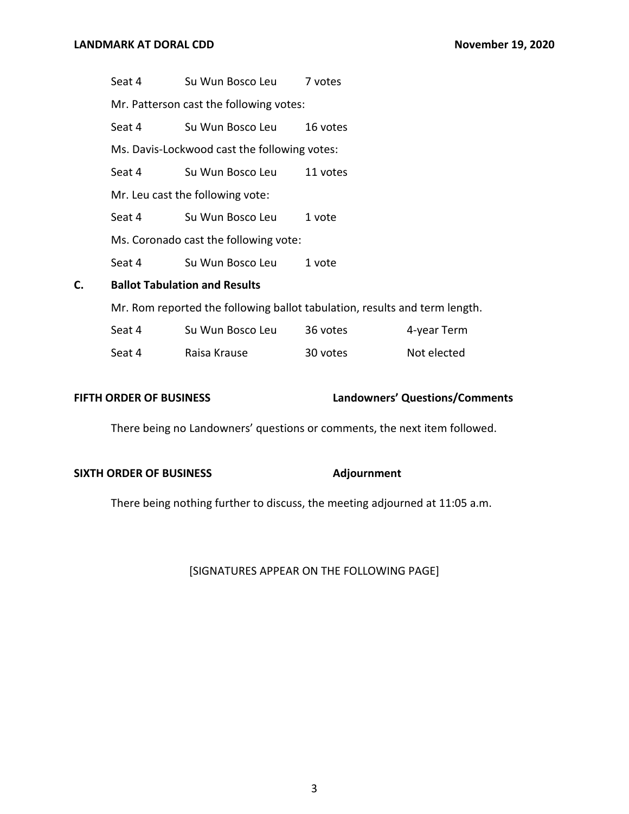Seat 4 Su Wun Bosco Leu 7 votes

Mr. Patterson cast the following votes:

Seat 4 Su Wun Bosco Leu 16 votes

Ms. Davis-Lockwood cast the following votes:

Seat 4 Su Wun Bosco Leu 11 votes

Mr. Leu cast the following vote:

Seat 4 Su Wun Bosco Leu 1 vote

Ms. Coronado cast the following vote:

Seat 4 Su Wun Bosco Leu 1 vote

## **C. Ballot Tabulation and Results**

Mr. Rom reported the following ballot tabulation, results and term length.

| Seat 4 | Su Wun Bosco Leu | 36 votes | 4-year Term |
|--------|------------------|----------|-------------|
| Seat 4 | Raisa Krause     | 30 votes | Not elected |

## **FIFTH ORDER OF BUSINESS**

### **FIFTH ORDER OF BUSINESS Landowners' Questions/Comments**

There being no Landowners' questions or comments, the next item followed.

#### **SIXTH ORDER OF BUSINESS** Adjournment

There being nothing further to discuss, the meeting adjourned at 11:05 a.m.

## [SIGNATURES APPEAR ON THE FOLLOWING PAGE]